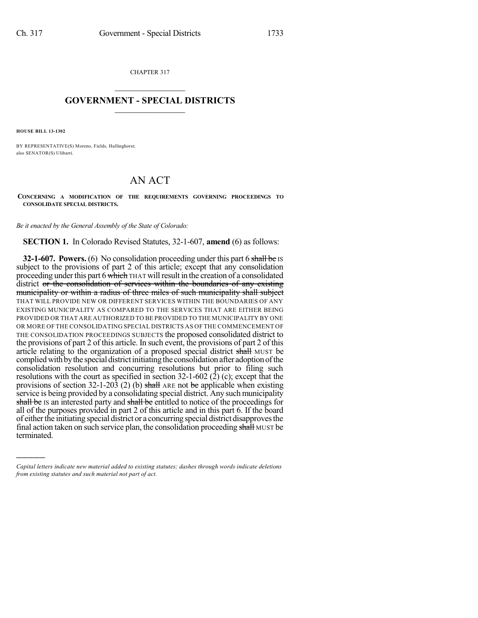CHAPTER 317  $\mathcal{L}_\text{max}$  . The set of the set of the set of the set of the set of the set of the set of the set of the set of the set of the set of the set of the set of the set of the set of the set of the set of the set of the set

## **GOVERNMENT - SPECIAL DISTRICTS**  $\_$   $\_$

**HOUSE BILL 13-1302**

)))))

BY REPRESENTATIVE(S) Moreno, Fields, Hullinghorst; also SENATOR(S) Ulibarri.

## AN ACT

**CONCERNING A MODIFICATION OF THE REQUIREMENTS GOVERNING PROCEEDINGS TO CONSOLIDATE SPECIAL DISTRICTS.**

*Be it enacted by the General Assembly of the State of Colorado:*

**SECTION 1.** In Colorado Revised Statutes, 32-1-607, **amend** (6) as follows:

**32-1-607. Powers.** (6) No consolidation proceeding under this part 6 shall be IS subject to the provisions of part 2 of this article; except that any consolidation proceeding under this part 6 which THAT will result in the creation of a consolidated district or the consolidation of services within the boundaries of any existing municipality or within a radius of three miles of such municipality shall subject THAT WILL PROVIDE NEW OR DIFFERENT SERVICES WITHIN THE BOUNDARIES OF ANY EXISTING MUNICIPALITY AS COMPARED TO THE SERVICES THAT ARE EITHER BEING PROVIDED OR THAT ARE AUTHORIZED TO BE PROVIDED TO THE MUNICIPALITY BY ONE OR MORE OF THE CONSOLIDATING SPECIAL DISTRICTS AS OF THE COMMENCEMENT OF THE CONSOLIDATION PROCEEDINGS SUBJECTS the proposed consolidated district to the provisions of part 2 of this article. In such event, the provisions of part 2 of this article relating to the organization of a proposed special district shall MUST be complied with by the special district initiating the consolidation after adoption of the consolidation resolution and concurring resolutions but prior to filing such resolutions with the court as specified in section 32-1-602 (2) (c); except that the provisions of section 32-1-203 (2) (b) shall ARE not be applicable when existing service is being provided by a consolidating special district. Any such municipality shall be IS an interested party and shall be entitled to notice of the proceedings for all of the purposes provided in part 2 of this article and in this part 6. If the board of eitherthe initiating special district or a concurring special district disapprovesthe final action taken on such service plan, the consolidation proceeding shall MUST be terminated.

*Capital letters indicate new material added to existing statutes; dashes through words indicate deletions from existing statutes and such material not part of act.*